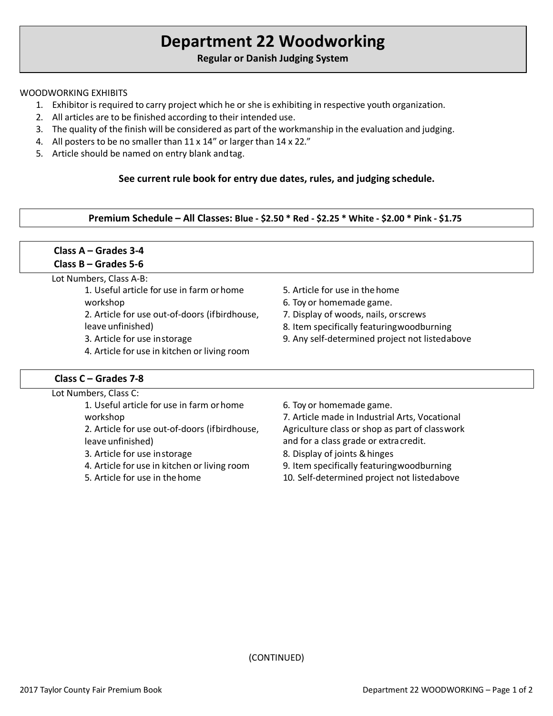# **Department 22 Woodworking**

## **Regular or Danish Judging System**

#### WOODWORKING EXHIBITS

- 1. Exhibitor is required to carry project which he or she is exhibiting in respective youth organization.
- 2. All articles are to be finished according to their intended use.
- 3. The quality of the finish will be considered as part of the workmanship in the evaluation and judging.
- 4. All posters to be no smaller than 11 x 14" or larger than 14 x 22."
- 5. Article should be named on entry blank andtag.

#### **See current rule book for entry due dates, rules, and judging schedule.**

**Premium Schedule – All Classes: Blue - \$2.50 \* Red - \$2.25 \* White - \$2.00 \* Pink - \$1.75**

# **Class A – Grades 3-4 Class B – Grades 5-6**

Lot Numbers, Class A-B:

- 1. Useful article for use in farm orhome workshop 2. Article for use out-of-doors (ifbirdhouse, leave unfinished) 3. Article for use instorage
- 4. Article for use in kitchen or living room

### **Class C – Grades 7-8**

- 5. Article for use in thehome
- 6. Toy or homemade game.
- 7. Display of woods, nails, orscrews
- 8. Item specifically featuringwoodburning
- 9. Any self-determined project not listedabove

| 6. Toy or homemade game.                       |
|------------------------------------------------|
| 7. Article made in Industrial Arts, Vocational |
| Agriculture class or shop as part of classwork |
| and for a class grade or extra credit.         |
| 8. Display of joints & hinges                  |
| 9. Item specifically featuringwoodburning      |
| 10. Self-determined project not listedabove    |
|                                                |

(CONTINUED)